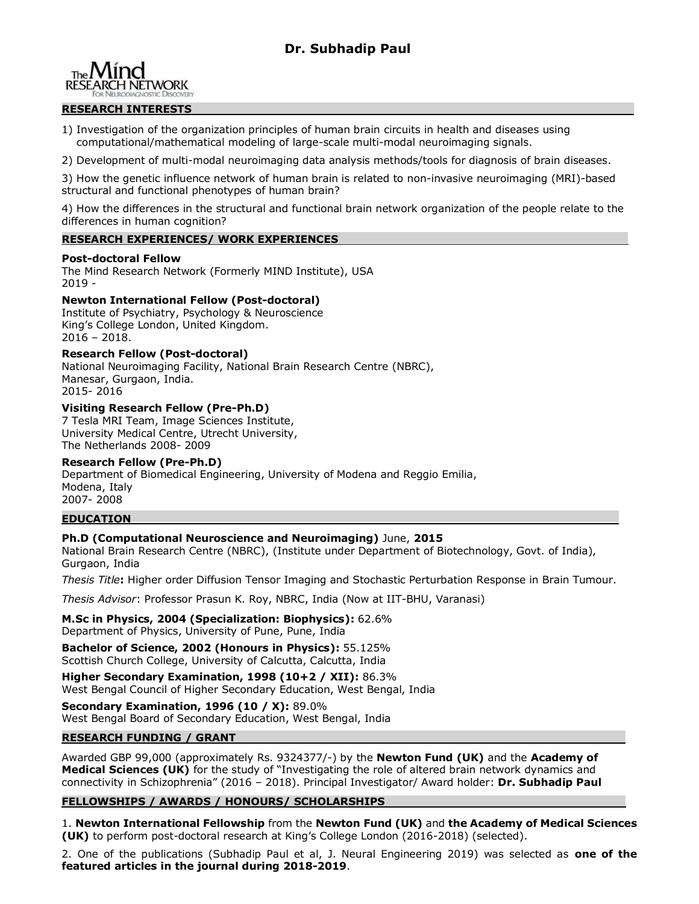# **Dr. Subhadip Paul**



## **RESEARCH INTERESTS**

1) Investigation of the organization principles of human brain circuits in health and diseases using computational/mathematical modeling of large-scale multi-modal neuroimaging signals.

2) Development of multi-modal neuroimaging data analysis methods/tools for diagnosis of brain diseases.

3) How the genetic influence network of human brain is related to non-invasive neuroimaging (MRI)-based structural and functional phenotypes of human brain?

4) How the differences in the structural and functional brain network organization of the people relate to the differences in human cognition?

#### **RESEARCH EXPERIENCES/ WORK EXPERIENCES**

#### **Post-doctoral Fellow**

The Mind Research Network (Formerly MIND Institute), USA 2019 -

# **Newton International Fellow (Post-doctoral)**

Institute of Psychiatry, Psychology & Neuroscience King's College London, United Kingdom. 2016 – 2018.

# **Research Fellow (Post-doctoral)**

National Neuroimaging Facility, National Brain Research Centre (NBRC), Manesar, Gurgaon, India. 2015- 2016

# **Visiting Research Fellow (Pre-Ph.D)**

7 Tesla MRI Team, Image Sciences Institute, University Medical Centre, Utrecht University, The Netherlands 2008- 2009

#### **Research Fellow (Pre-Ph.D)**

Department of Biomedical Engineering, University of Modena and Reggio Emilia, Modena, Italy 2007- 2008

#### **EDUCATION**

# **Ph.D (Computational Neuroscience and Neuroimaging)** June, **2015**

National Brain Research Centre (NBRC), (Institute under Department of Biotechnology, Govt. of India), Gurgaon, India

*Thesis Title***:** Higher order Diffusion Tensor Imaging and Stochastic Perturbation Response in Brain Tumour.

*Thesis Advisor*: Professor Prasun K. Roy, NBRC, India (Now at IIT-BHU, Varanasi)

**M.Sc in Physics, 2004 (Specialization: Biophysics):** 62.6% Department of Physics, University of Pune, Pune, India

**Bachelor of Science, 2002 (Honours in Physics):** 55.125% Scottish Church College, University of Calcutta, Calcutta, India

**Higher Secondary Examination, 1998 (10+2 / XII):** 86.3% West Bengal Council of Higher Secondary Education, West Bengal, India

**Secondary Examination, 1996 (10 / X):** 89.0% West Bengal Board of Secondary Education, West Bengal, India

#### **RESEARCH FUNDING / GRANT**

Awarded GBP 99,000 (approximately Rs. 9324377/-) by the **Newton Fund (UK)** and the **Academy of Medical Sciences (UK)** for the study of "Investigating the role of altered brain network dynamics and connectivity in Schizophrenia" (2016 – 2018). Principal Investigator/ Award holder: **Dr. Subhadip Paul**

# **FELLOWSHIPS / AWARDS / HONOURS/ SCHOLARSHIPS**

1. **Newton International Fellowship** from the **Newton Fund (UK)** and **the Academy of Medical Sciences (UK)** to perform post-doctoral research at King's College London (2016-2018) (selected).

2. One of the publications (Subhadip Paul et al, J. Neural Engineering 2019) was selected as **one of the featured articles in the journal during 2018-2019**.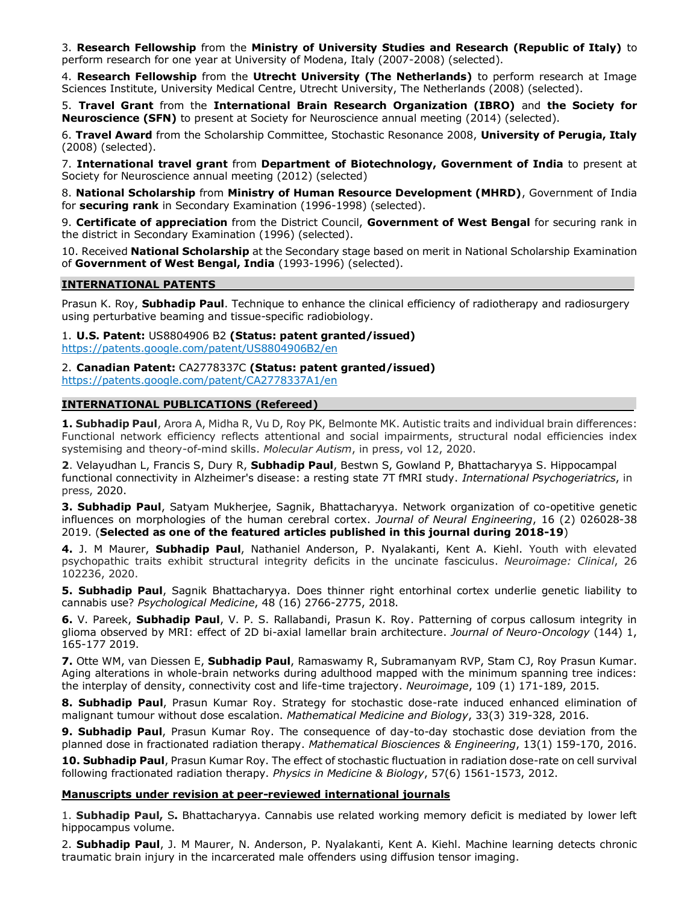3. **Research Fellowship** from the **Ministry of University Studies and Research (Republic of Italy)** to perform research for one year at University of Modena, Italy (2007-2008) (selected).

4. **Research Fellowship** from the **Utrecht University (The Netherlands)** to perform research at Image Sciences Institute, University Medical Centre, Utrecht University, The Netherlands (2008) (selected).

5. **Travel Grant** from the **International Brain Research Organization (IBRO)** and **the Society for Neuroscience (SFN)** to present at Society for Neuroscience annual meeting (2014) (selected).

6. **Travel Award** from the Scholarship Committee, Stochastic Resonance 2008, **University of Perugia, Italy** (2008) (selected).

7. **International travel grant** from **Department of Biotechnology, Government of India** to present at Society for Neuroscience annual meeting (2012) (selected)

8. **National Scholarship** from **Ministry of Human Resource Development (MHRD)**, Government of India for **securing rank** in Secondary Examination (1996-1998) (selected).

9. **Certificate of appreciation** from the District Council, **Government of West Bengal** for securing rank in the district in Secondary Examination (1996) (selected).

10. Received **National Scholarship** at the Secondary stage based on merit in National Scholarship Examination of **Government of West Bengal, India** (1993-1996) (selected).

#### **INTERNATIONAL PATENTS**

Prasun K. Roy, **Subhadip Paul**. [Technique to enhance the clinical efficiency of radiotherapy and radiosurgery](http://www.freshpatents.com/-dt20120503ptan20120106703.php) [using perturbative beaming and](http://www.freshpatents.com/-dt20120503ptan20120106703.php) tissue-specific radiobiology.

1. **U.S. Patent:** US8804906 B2 **(Status: patent granted/issued)** <https://patents.google.com/patent/US8804906B2/en>

2. **Canadian Patent:** CA2778337C **(Status: patent granted/issued)** <https://patents.google.com/patent/CA2778337A1/en>

# **INTERNATIONAL PUBLICATIONS (Refereed)**

**1. Subhadip Paul**, Arora A, Midha R, Vu D, Roy PK, Belmonte MK. Autistic traits and individual brain differences: Functional network efficiency reflects attentional and social impairments, structural nodal efficiencies index systemising and theory-of-mind skills. *Molecular Autism*, in press, vol 12, 2020.

**2**. Velayudhan L, Francis S, Dury R, **Subhadip Paul**, Bestwn S, Gowland P, Bhattacharyya S. Hippocampal functional connectivity in Alzheimer's disease: a resting state 7T fMRI study. *International Psychogeriatrics*, in press, 2020.

**3. Subhadip Paul**, Satyam Mukherjee, Sagnik, Bhattacharyya. Network organization of co-opetitive genetic influences on morphologies of the human cerebral cortex. *Journal of Neural Engineering*, 16 (2) 026028-38 2019. (**Selected as one of the featured articles published in this journal during 2018-19**)

**4.** J. M Maurer, **Subhadip Paul**, Nathaniel Anderson, P. Nyalakanti, Kent A. Kiehl. Youth with elevated psychopathic traits exhibit structural integrity deficits in the uncinate fasciculus. *Neuroimage: Clinical*, 26 102236, 2020.

**5. Subhadip Paul**, Sagnik Bhattacharyya. Does thinner right entorhinal cortex underlie genetic liability to cannabis use? *Psychological Medicine*, 48 (16) 2766-2775, 2018.

**6.** V. Pareek, **Subhadip Paul**, V. P. S. Rallabandi, Prasun K. Roy. Patterning of corpus callosum integrity in glioma observed by MRI: effect of 2D bi-axial lamellar brain architecture. *Journal of Neuro-Oncology* (144) 1, 165-177 2019.

**7.** Otte WM, van Diessen E, **Subhadip Paul**, Ramaswamy R, Subramanyam RVP, Stam CJ, Roy Prasun Kumar. Aging alterations in whole-brain networks during adulthood mapped with the minimum spanning tree indices: the interplay of density, connectivity cost and life-time trajectory. *Neuroimage*, 109 (1) 171-189, 2015.

**8. Subhadip Paul**, Prasun Kumar Roy. Strategy for stochastic dose-rate induced enhanced elimination of malignant tumour without dose escalation. *Mathematical Medicine and Biology*, 33(3) 319-328, 2016.

**9. Subhadip Paul**, Prasun Kumar Roy. The consequence of day-to-day stochastic dose deviation from the planned dose in fractionated radiation therapy. *Mathematical Biosciences & Engineering*, 13(1) 159-170, 2016.

**10. Subhadip Paul**, Prasun Kumar Roy. The effect of stochastic fluctuation in radiation dose-rate on cell survival following fractionated radiation therapy. *Physics in Medicine & Biology*, 57(6) 1561-1573, 2012.

#### **Manuscripts under revision at peer-reviewed international journals**

1. **Subhadip Paul,** S**.** Bhattacharyya. Cannabis use related working memory deficit is mediated by lower left hippocampus volume.

2. **Subhadip Paul**, J. M Maurer, N. Anderson, P. Nyalakanti, Kent A. Kiehl. Machine learning detects chronic traumatic brain injury in the incarcerated male offenders using diffusion tensor imaging.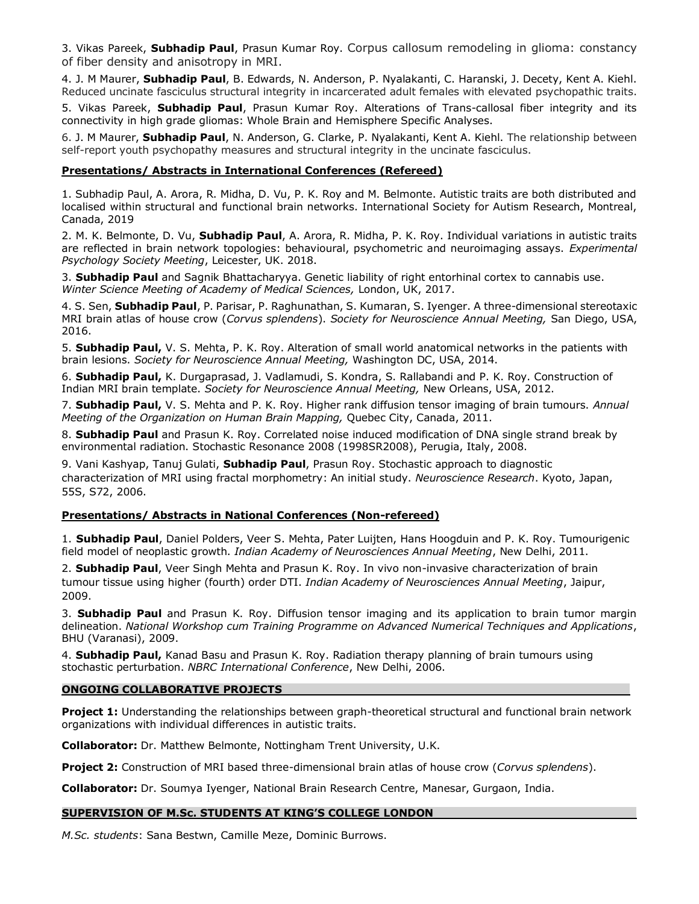3. Vikas Pareek, **Subhadip Paul**, Prasun Kumar Roy. Corpus callosum remodeling in glioma: constancy of fiber density and anisotropy in MRI.

4. J. M Maurer, **Subhadip Paul**, B. Edwards, N. Anderson, P. Nyalakanti, C. Haranski, J. Decety, Kent A. Kiehl. Reduced uncinate fasciculus structural integrity in incarcerated adult females with elevated psychopathic traits.

5. Vikas Pareek, **Subhadip Paul**, Prasun Kumar Roy. Alterations of Trans-callosal fiber integrity and its connectivity in high grade gliomas: Whole Brain and Hemisphere Specific Analyses.

6. J. M Maurer, **Subhadip Paul**, N. Anderson, G. Clarke, P. Nyalakanti, Kent A. Kiehl. The relationship between self-report youth psychopathy measures and structural integrity in the uncinate fasciculus.

# **Presentations/ Abstracts in International Conferences (Refereed)**

1. Subhadip Paul, A. Arora, R. Midha, D. Vu, P. K. Roy and M. Belmonte. Autistic traits are both distributed and localised within structural and functional brain networks. International Society for Autism Research, Montreal, Canada, 2019

2. M. K. Belmonte, D. Vu, **Subhadip Paul**, A. Arora, R. Midha, P. K. Roy. Individual variations in autistic traits are reflected in brain network topologies: behavioural, psychometric and neuroimaging assays. *Experimental Psychology Society Meeting*, Leicester, UK. 2018.

3. **Subhadip Paul** and Sagnik Bhattacharyya. Genetic liability of right entorhinal cortex to cannabis use. *Winter Science Meeting of Academy of Medical Sciences,* London, UK, 2017.

4. S. Sen, **Subhadip Paul**, P. Parisar, P. Raghunathan, S. Kumaran, S. Iyenger. A three-dimensional stereotaxic MRI brain atlas of house crow (*Corvus splendens*). *Society for Neuroscience Annual Meeting,* San Diego, USA, 2016.

5. **Subhadip Paul,** V. S. Mehta, P. K. Roy. Alteration of small world anatomical networks in the patients with brain lesions. *Society for Neuroscience Annual Meeting,* Washington DC, USA, 2014.

6. **Subhadip Paul,** K. Durgaprasad, J. Vadlamudi, S. Kondra, S. Rallabandi and P. K. Roy. Construction of Indian MRI brain template. *Society for Neuroscience Annual Meeting,* New Orleans, USA, 2012.

7. **Subhadip Paul,** V. S. Mehta and P. K. Roy. Higher rank diffusion tensor imaging of brain tumours. *Annual Meeting of the Organization on Human Brain Mapping,* Quebec City, Canada, 2011.

8. **Subhadip Paul** and Prasun K. Roy. Correlated noise induced modification of DNA single strand break by environmental radiation. Stochastic Resonance 2008 (1998SR2008), Perugia, Italy, 2008.

9. Vani Kashyap, Tanuj Gulati, **Subhadip Paul**, Prasun Roy. Stochastic approach to diagnostic characterization of MRI using fractal morphometry: An initial study. *Neuroscience Research*. Kyoto, Japan, 55S, S72, 2006.

#### **Presentations/ Abstracts in National Conferences (Non-refereed)**

1. **Subhadip Paul**, Daniel Polders, Veer S. Mehta, Pater Luijten, Hans Hoogduin and P. K. Roy. Tumourigenic field model of neoplastic growth. *Indian Academy of Neurosciences Annual Meeting*, New Delhi, 2011.

2. **Subhadip Paul**, Veer Singh Mehta and Prasun K. Roy. In vivo non-invasive characterization of brain tumour tissue using higher (fourth) order DTI. *Indian Academy of Neurosciences Annual Meeting*, Jaipur, 2009.

3. **Subhadip Paul** and Prasun K. Roy. Diffusion tensor imaging and its application to brain tumor margin delineation. *National Workshop cum Training Programme on Advanced Numerical Techniques and Applications*, BHU (Varanasi), 2009.

4. **Subhadip Paul,** Kanad Basu and Prasun K. Roy. Radiation therapy planning of brain tumours using stochastic perturbation. *NBRC International Conference*, New Delhi, 2006.

#### **ONGOING COLLABORATIVE PROJECTS**

**Project 1:** Understanding the relationships between graph-theoretical structural and functional brain network organizations with individual differences in autistic traits.

**Collaborator:** Dr. Matthew Belmonte, Nottingham Trent University, U.K.

**Project 2:** Construction of MRI based three-dimensional brain atlas of house crow (*Corvus splendens*).

**Collaborator:** Dr. Soumya Iyenger, National Brain Research Centre, Manesar, Gurgaon, India.

# **SUPERVISION OF M.Sc. STUDENTS AT KING'S COLLEGE LONDON**

*M.Sc. students*: Sana Bestwn, Camille Meze, Dominic Burrows.